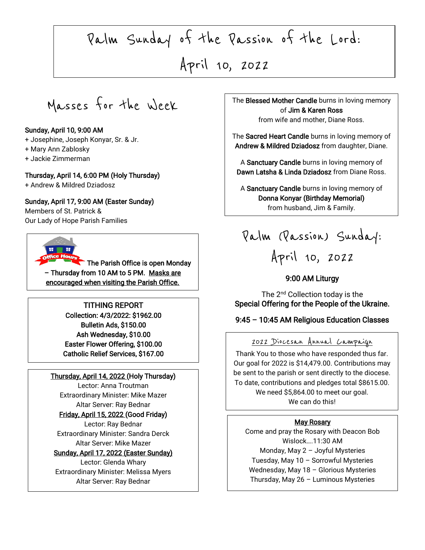Palm Sunday of the Passion of the Lord:

> $\frac{1}{\sqrt{2}}$ April 10, 2022

 $\sqrt{2}$ 

Masses for the Week

### Sunday, April 10, 9:00 AM

- + Josephine, Joseph Konyar, Sr. & Jr.
- + Mary Ann Zablosky
- + Jackie Zimmerman

### Thursday, April 14, 6:00 PM (Holy Thursday)

+ Andrew & Mildred Dziadosz

Sunday, April 17, 9:00 AM (Easter Sunday)

Members of St. Patrick & Our Lady of Hope Parish Families



The Parish Office is open Monday – Thursday from 10 AM to 5 PM. Masks are encouraged when visiting the Parish Office.

### TITHING REPORT

Collection: 4/3/2022: \$1962.00 Bulletin Ads, \$150.00 Ash Wednesday, \$10.00 Easter Flower Offering, \$100.00 Catholic Relief Services, \$167.00

#### Thursday, April 14, 2022 (Holy Thursday)

Lector: Anna Troutman Extraordinary Minister: Mike Mazer Altar Server: Ray Bednar Friday, April 15, 2022 (Good Friday)

Lector: Ray Bednar Extraordinary Minister: Sandra Derck Altar Server: Mike Mazer

### Sunday, April 17, 2022 (Easter Sunday)

Lector: Glenda Whary Extraordinary Minister: Melissa Myers Altar Server: Ray Bednar

The Blessed Mother Candle burns in loving memory of Jim & Karen Ross from wife and mother, Diane Ross.

> The Sacred Heart Candle burns in loving memory of Andrew & Mildred Dziadosz from daughter, Diane.

A Sanctuary Candle burns in loving memory of Dawn Latsha & Linda Dziadosz from Diane Ross.

A Sanctuary Candle burns in loving memory of Donna Konyar (Birthday Memorial) from husband, Jim & Family.

Palm (Passion) Sunday: April 10, 2022

## 9:00 AM Liturgy

The 2<sup>nd</sup> Collection today is the Special Offering for the People of the Ukraine.

### 9:45 – 10:45 AM Religious Education Classes

# 2022 Diocesan Annual Campaign

 Thank You to those who have responded thus far. be sent to the parish or sent directly to the diocese. To date, contributions and pledges total \$8615.00. We can do this! Our goal for 2022 is \$14,479.00. Contributions may We need \$5,864.00 to meet our goal.

#### May Rosary

 Tuesday, May 10 – Sorrowful Mysteries Come and pray the Rosary with Deacon Bob Wislock….11:30 AM Monday, May 2 – Joyful Mysteries Wednesday, May 18 – Glorious Mysteries Thursday, May 26 – Luminous Mysteries